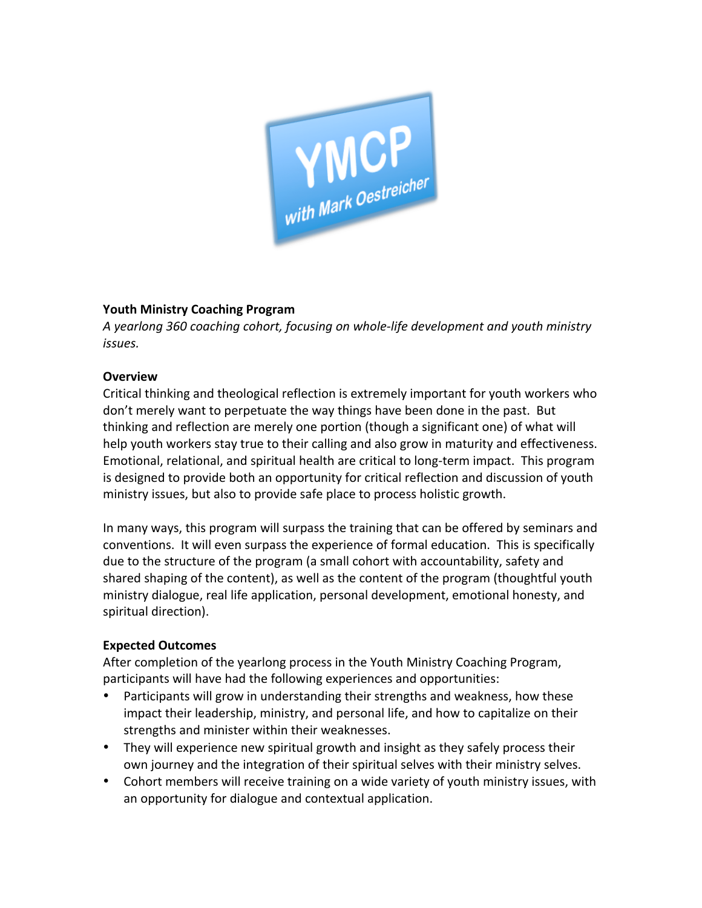

## **Youth Ministry Coaching Program**

A yearlong 360 coaching cohort, focusing on whole-life development and youth ministry *issues.*

#### **Overview**

Critical thinking and theological reflection is extremely important for youth workers who don't merely want to perpetuate the way things have been done in the past. But thinking and reflection are merely one portion (though a significant one) of what will help youth workers stay true to their calling and also grow in maturity and effectiveness. Emotional, relational, and spiritual health are critical to long-term impact. This program is designed to provide both an opportunity for critical reflection and discussion of youth ministry issues, but also to provide safe place to process holistic growth.

In many ways, this program will surpass the training that can be offered by seminars and conventions. It will even surpass the experience of formal education. This is specifically due to the structure of the program (a small cohort with accountability, safety and shared shaping of the content), as well as the content of the program (thoughtful youth ministry dialogue, real life application, personal development, emotional honesty, and spiritual direction).

#### **Expected Outcomes**

After completion of the yearlong process in the Youth Ministry Coaching Program, participants will have had the following experiences and opportunities:

- Participants will grow in understanding their strengths and weakness, how these impact their leadership, ministry, and personal life, and how to capitalize on their strengths and minister within their weaknesses.
- They will experience new spiritual growth and insight as they safely process their own journey and the integration of their spiritual selves with their ministry selves.
- Cohort members will receive training on a wide variety of youth ministry issues, with an opportunity for dialogue and contextual application.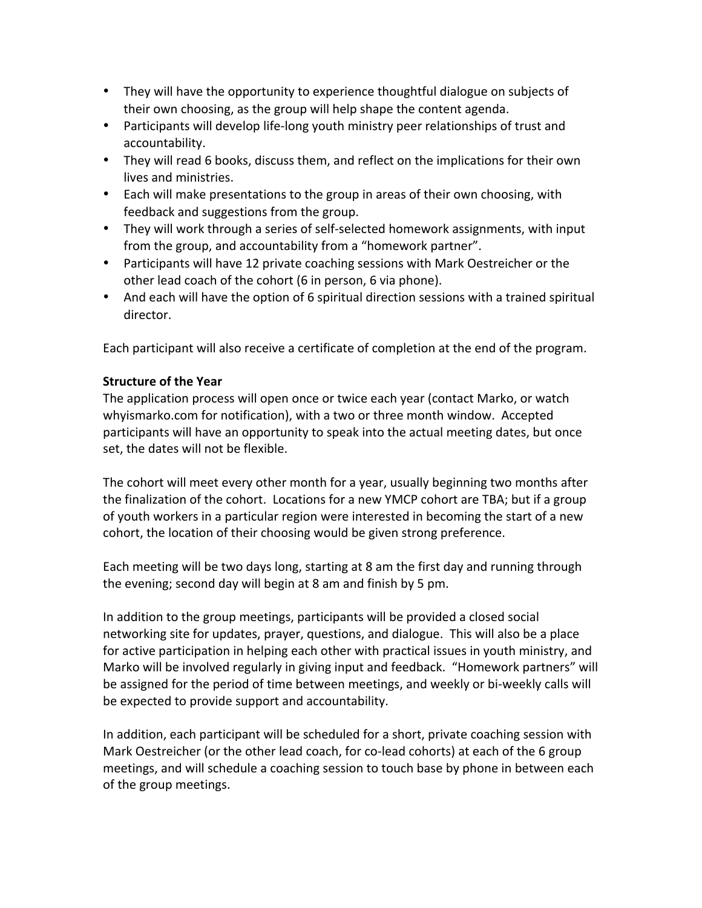- They will have the opportunity to experience thoughtful dialogue on subjects of their own choosing, as the group will help shape the content agenda.
- Participants will develop life-long youth ministry peer relationships of trust and accountability.
- They will read 6 books, discuss them, and reflect on the implications for their own lives and ministries.
- Each will make presentations to the group in areas of their own choosing, with feedback and suggestions from the group.
- They will work through a series of self-selected homework assignments, with input from the group, and accountability from a "homework partner".
- Participants will have 12 private coaching sessions with Mark Oestreicher or the other lead coach of the cohort (6 in person, 6 via phone).
- And each will have the option of 6 spiritual direction sessions with a trained spiritual director.

Each participant will also receive a certificate of completion at the end of the program.

## **Structure of the Year**

The application process will open once or twice each year (contact Marko, or watch whyismarko.com for notification), with a two or three month window. Accepted participants will have an opportunity to speak into the actual meeting dates, but once set, the dates will not be flexible.

The cohort will meet every other month for a year, usually beginning two months after the finalization of the cohort. Locations for a new YMCP cohort are TBA; but if a group of youth workers in a particular region were interested in becoming the start of a new cohort, the location of their choosing would be given strong preference.

Each meeting will be two days long, starting at 8 am the first day and running through the evening; second day will begin at 8 am and finish by 5 pm.

In addition to the group meetings, participants will be provided a closed social networking site for updates, prayer, questions, and dialogue. This will also be a place for active participation in helping each other with practical issues in youth ministry, and Marko will be involved regularly in giving input and feedback. "Homework partners" will be assigned for the period of time between meetings, and weekly or bi-weekly calls will be expected to provide support and accountability.

In addition, each participant will be scheduled for a short, private coaching session with Mark Oestreicher (or the other lead coach, for co-lead cohorts) at each of the 6 group meetings, and will schedule a coaching session to touch base by phone in between each of the group meetings.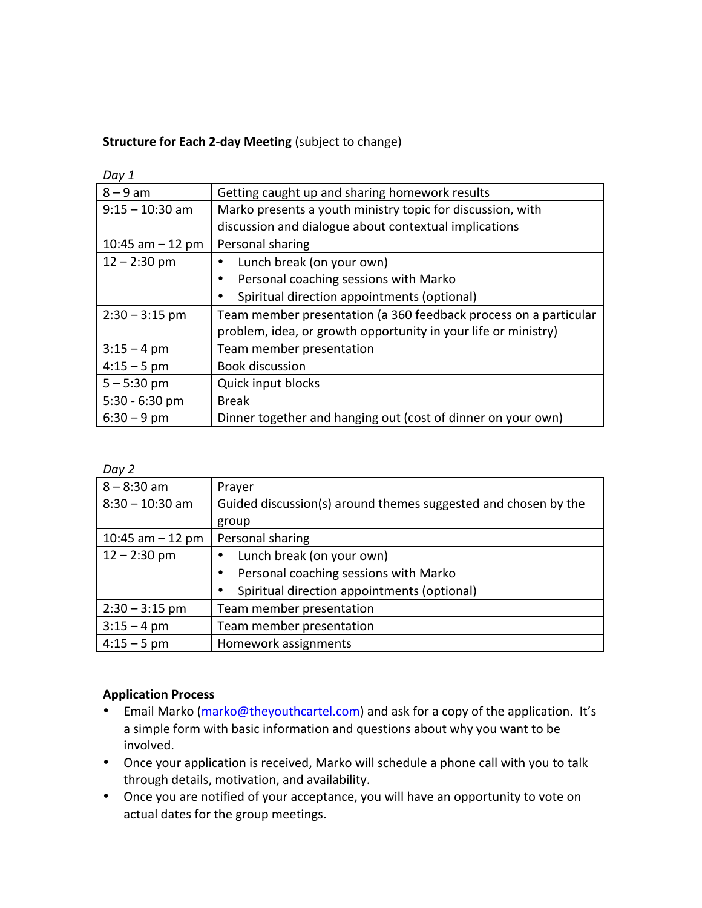# **Structure for Each 2-day Meeting** (subject to change)

| <b>DUV</b> 1       |                                                                  |
|--------------------|------------------------------------------------------------------|
| $8 - 9$ am         | Getting caught up and sharing homework results                   |
| $9:15 - 10:30$ am  | Marko presents a youth ministry topic for discussion, with       |
|                    | discussion and dialogue about contextual implications            |
| 10:45 am $-$ 12 pm | Personal sharing                                                 |
| $12 - 2:30$ pm     | Lunch break (on your own)                                        |
|                    | Personal coaching sessions with Marko<br>٠                       |
|                    | Spiritual direction appointments (optional)                      |
| $2:30 - 3:15$ pm   | Team member presentation (a 360 feedback process on a particular |
|                    | problem, idea, or growth opportunity in your life or ministry)   |
| $3:15 - 4$ pm      | Team member presentation                                         |
| $4:15 - 5$ pm      | <b>Book discussion</b>                                           |
| $5 - 5:30$ pm      | <b>Quick input blocks</b>                                        |
| $5:30 - 6:30$ pm   | <b>Break</b>                                                     |
| $6:30 - 9$ pm      | Dinner together and hanging out (cost of dinner on your own)     |

*Day 2*

*Day 1*

| $8 - 8:30$ am      | Prayer                                                         |
|--------------------|----------------------------------------------------------------|
| $8:30 - 10:30$ am  | Guided discussion(s) around themes suggested and chosen by the |
|                    | group                                                          |
| 10:45 am $-$ 12 pm | Personal sharing                                               |
| $12 - 2:30$ pm     | Lunch break (on your own)                                      |
|                    | Personal coaching sessions with Marko<br>٠                     |
|                    | Spiritual direction appointments (optional)                    |
| $2:30 - 3:15$ pm   | Team member presentation                                       |
| $3:15 - 4$ pm      | Team member presentation                                       |
| $4:15 - 5$ pm      | Homework assignments                                           |

# **Application Process**

- Email Marko (marko@theyouthcartel.com) and ask for a copy of the application. It's a simple form with basic information and questions about why you want to be involved.
- Once your application is received, Marko will schedule a phone call with you to talk through details, motivation, and availability.
- Once you are notified of your acceptance, you will have an opportunity to vote on actual dates for the group meetings.